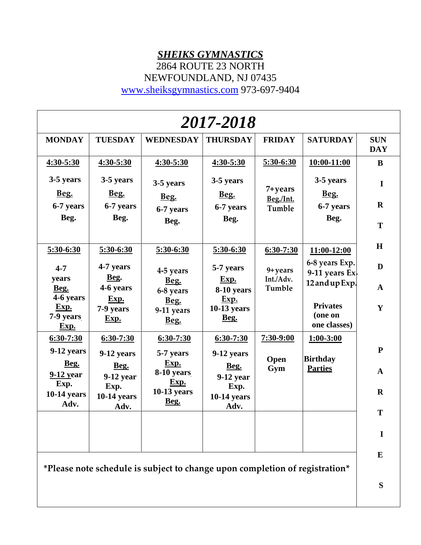### *SHEIKS GYMNASTICS*

2864 ROUTE 23 NORTH

NEWFOUNDLAND, NJ 07435

[www.sheiksgymnastics.com](http://www.sheiksgymnastics.com/) 973-697-9404

| <b>TUESDAY</b>                         |                                        |                                           |                                |                                            |                                 |
|----------------------------------------|----------------------------------------|-------------------------------------------|--------------------------------|--------------------------------------------|---------------------------------|
|                                        | <b>WEDNESDAY</b>                       | <b>THURSDAY</b>                           | <b>FRIDAY</b>                  | <b>SATURDAY</b>                            | <b>SUN</b><br><b>DAY</b>        |
| 4:30-5:30                              | 4:30-5:30                              | 4:30-5:30                                 | 5:30-6:30                      | 10:00-11:00                                | $\bf{B}$                        |
| 3-5 years<br>Beg.<br>6-7 years<br>Beg. | 3-5 years<br>Beg.<br>6-7 years<br>Beg. | 3-5 years<br>Beg.<br>6-7 years<br>Beg.    | 7+years<br>Beg./Int.<br>Tumble | 3-5 years<br>Beg.<br>6-7 years<br>Beg.     | $\mathbf I$<br>$\mathbf R$<br>T |
| 5:30-6:30                              | 5:30-6:30                              | 5:30-6:30                                 | $6:30-7:30$                    | 11:00-12:00                                | H                               |
| 4-7 years                              | 4-5 years                              | 5-7 years                                 | 9+years                        | 6-8 years Exp.                             | D                               |
| 4-6 years                              | Beg.<br>6-8 years                      | Exp.<br>8-10 years                        | Tumble                         | 12 and up Exp.                             | $\mathbf{A}$                    |
| 7-9 years<br>Exp.                      | 9-11 years<br>Beg.                     | $10-13$ years<br>Beg.                     |                                | <b>Privates</b><br>(one on<br>one classes) | Y                               |
| $6:30-7:30$                            | $6:30-7:30$                            | $6:30-7:30$                               | 7:30-9:00                      | $1:00 - 3:00$                              |                                 |
| 9-12 years<br>Beg.                     | 5-7 years<br>Exp.                      | 9-12 years<br>Beg.                        | Open                           | <b>Birthday</b><br><b>Parties</b>          | ${\bf P}$<br>$\mathbf{A}$       |
| $9-12$ year<br>Exp.<br>$10-14$ years   | Exp.<br>10-13 years                    | $9-12$ year<br>Exp.<br><b>10-14 years</b> |                                |                                            | $\mathbf R$                     |
| Adv.                                   |                                        | Adv.                                      |                                |                                            | T<br>$\mathbf I$                |
|                                        | Beg.<br>Exp.                           | Beg.<br>8-10 years<br>Beg.                | Exp.                           | Int./Adv.<br>Gym                           | 9-11 years $Ex$ .               |

**\*Please note schedule is subject to change upon completion of registration\***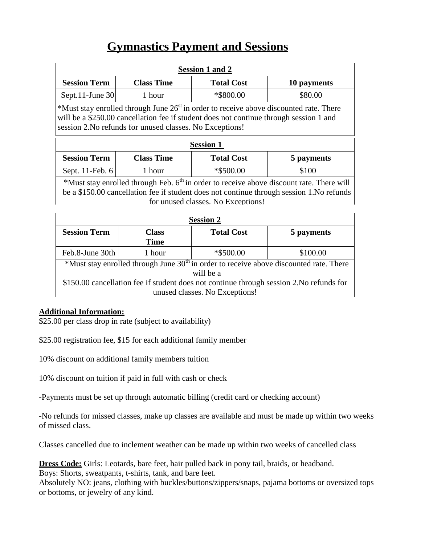## **Gymnastics Payment and Sessions**

| <b>Session 1 and 2</b>                                                                                                                                                                                                                         |                      |                   |             |  |  |  |  |
|------------------------------------------------------------------------------------------------------------------------------------------------------------------------------------------------------------------------------------------------|----------------------|-------------------|-------------|--|--|--|--|
| <b>Session Term</b>                                                                                                                                                                                                                            | <b>Class Time</b>    | <b>Total Cost</b> | 10 payments |  |  |  |  |
| Sept.11-June 30                                                                                                                                                                                                                                | 1 hour               | *\$800.00         | \$80.00     |  |  |  |  |
| *Must stay enrolled through June $26st$ in order to receive above discounted rate. There<br>will be a \$250.00 cancellation fee if student does not continue through session 1 and<br>session 2. No refunds for unused classes. No Exceptions! |                      |                   |             |  |  |  |  |
| <b>Session 1</b>                                                                                                                                                                                                                               |                      |                   |             |  |  |  |  |
| <b>Session Term</b>                                                                                                                                                                                                                            | <b>Class Time</b>    | <b>Total Cost</b> | 5 payments  |  |  |  |  |
| Sept. 11-Feb. 6                                                                                                                                                                                                                                | 1 hour               | *\$500.00         | \$100       |  |  |  |  |
| *Must stay enrolled through Feb. $6th$ in order to receive above discount rate. There will<br>be a \$150.00 cancellation fee if student does not continue through session 1. No refunds<br>for unused classes. No Exceptions!                  |                      |                   |             |  |  |  |  |
| <b>Session 2</b>                                                                                                                                                                                                                               |                      |                   |             |  |  |  |  |
| <b>Session Term</b>                                                                                                                                                                                                                            | <b>Class</b><br>Time | <b>Total Cost</b> | 5 payments  |  |  |  |  |

Feb.8-June 30th  $\vert$  1 hour  $\vert$  \*\$500.00  $\vert$  \$100.00 \*Must stay enrolled through June  $30<sup>th</sup>$  in order to receive above discounted rate. There will be a \$150.00 cancellation fee if student does not continue through session 2.No refunds for unused classes. No Exceptions!

### **Additional Information:**

\$25.00 per class drop in rate (subject to availability)

\$25.00 registration fee, \$15 for each additional family member

10% discount on additional family members tuition

10% discount on tuition if paid in full with cash or check

-Payments must be set up through automatic billing (credit card or checking account)

-No refunds for missed classes, make up classes are available and must be made up within two weeks of missed class.

Classes cancelled due to inclement weather can be made up within two weeks of cancelled class

**Dress Code:** Girls: Leotards, bare feet, hair pulled back in pony tail, braids, or headband. Boys: Shorts, sweatpants, t-shirts, tank, and bare feet.

Absolutely NO: jeans, clothing with buckles/buttons/zippers/snaps, pajama bottoms or oversized tops or bottoms, or jewelry of any kind.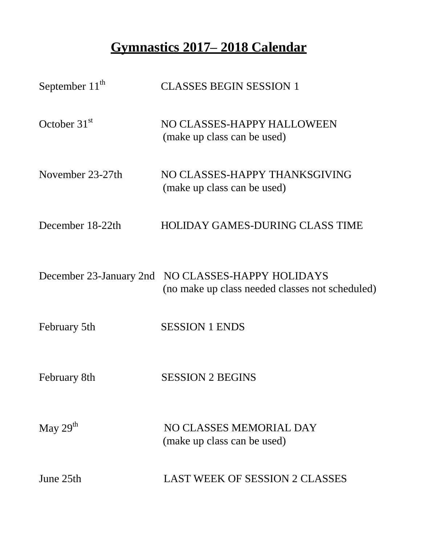# **Gymnastics 2017– 2018 Calendar**

| September $11^{th}$     | <b>CLASSES BEGIN SESSION 1</b>                                               |
|-------------------------|------------------------------------------------------------------------------|
| October $31st$          | NO CLASSES-HAPPY HALLOWEEN<br>(make up class can be used)                    |
| November 23-27th        | NO CLASSES-HAPPY THANKSGIVING<br>(make up class can be used)                 |
| December 18-22th        | <b>HOLIDAY GAMES-DURING CLASS TIME</b>                                       |
| December 23-January 2nd | NO CLASSES-HAPPY HOLIDAYS<br>(no make up class needed classes not scheduled) |
| February 5th            | <b>SESSION 1 ENDS</b>                                                        |
| February 8th            | <b>SESSION 2 BEGINS</b>                                                      |
| May $29th$              | NO CLASSES MEMORIAL DAY<br>(make up class can be used)                       |
| June 25th               | <b>LAST WEEK OF SESSION 2 CLASSES</b>                                        |